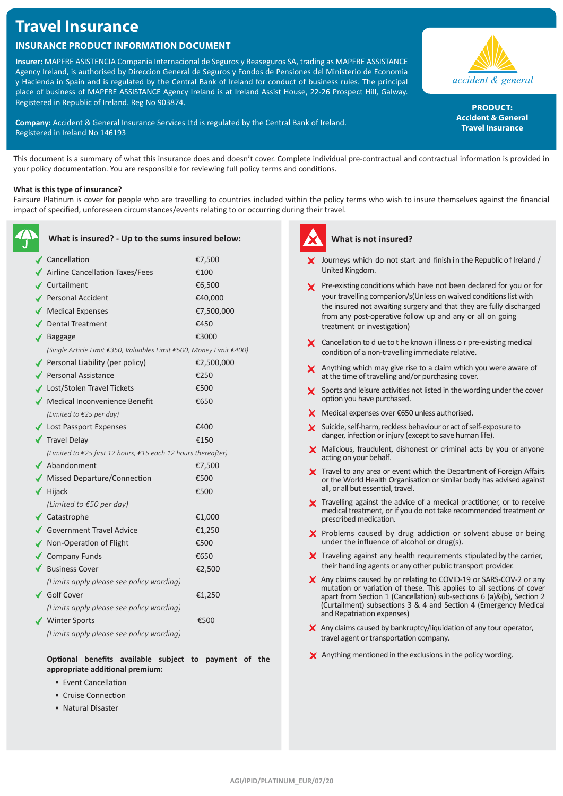# **Travel Insurance**

## **Insurance Product Information Document**

**Insurer:** MAPFRE ASISTENCIA Compania Internacional de Seguros y Reaseguros SA, trading as MAPFRE ASSISTANCE Agency Ireland, is authorised by Direccion General de Seguros y Fondos de Pensiones del Ministerio de Economia y Hacienda in Spain and is regulated by the Central Bank of Ireland for conduct of business rules. The principal place of business of MAPFRE ASSISTANCE Agency Ireland is at Ireland Assist House, 22-26 Prospect Hill, Galway. Registered in Republic of Ireland. Reg No 903874.

**Company:** Accident & General Insurance Services Ltd is regulated by the Central Bank of Ireland. Registered in Ireland No 146193

accident & general

**PRODUCT: Accident & General Travel Insurance**

This document is a summary of what this insurance does and doesn't cover. Complete individual pre-contractual and contractual information is provided in your policy documentation. You are responsible for reviewing full policy terms and conditions.

## **What is this type of insurance?**

Fairsure Platinum is cover for people who are travelling to countries included within the policy terms who wish to insure themselves against the financial impact of specified, unforeseen circumstances/events relating to or occurring during their travel.

| What is insured? - Up to the sums insured below:                    |            |
|---------------------------------------------------------------------|------------|
| <b>∕</b> Cancellation                                               | €7,500     |
| Airline Cancellation Taxes/Fees                                     | €100       |
| <b>∕</b> Curtailment                                                | €6,500     |
| Personal Accident                                                   | €40,000    |
| Medical Expenses                                                    | €7,500,000 |
| $\sqrt{\phantom{a}}$ Dental Treatment                               | €450       |
| $\sqrt{\phantom{a}}$ Baggage                                        | €3000      |
| (Single Article Limit €350, Valuables Limit €500, Money Limit €400) |            |
| ◆ Personal Liability (per policy)                                   | €2,500,000 |
| Personal Assistance                                                 | €250       |
| ↓ Lost/Stolen Travel Tickets                                        | €500       |
| Medical Inconvenience Benefit                                       | €650       |
| (Limited to €25 per day)                                            |            |
| ◆ Lost Passport Expenses                                            | €400       |
| $\sqrt{\phantom{a}}$ Travel Delay                                   | €150       |
| (Limited to €25 first 12 hours, €15 each 12 hours thereafter)       |            |
| $\blacklozenge$ Abandonment                                         | €7,500     |
| Missed Departure/Connection                                         | €500       |
| $\blacktriangledown$ Hijack                                         | €500       |
| (Limited to $\epsilon$ 50 per day)                                  |            |
| ◆ Catastrophe                                                       | €1,000     |
| Government Travel Advice                                            | €1,250     |
| Non-Operation of Flight                                             | €500       |
| ◆ Company Funds                                                     | €650       |
| ◆ Business Cover                                                    | €2,500     |
| (Limits apply please see policy wording)                            |            |
| ✔ Golf Cover                                                        | €1,250     |
| (Limits apply please see policy wording)                            |            |
| ✔ Winter Sports                                                     | €500       |
| (Limits apply please see policy wording)                            |            |

**Optional benefits available subject to payment of the appropriate additional premium:**

- Event Cancellation
- Cruise Connection
- Natural Disaster



## **What is not insured?**

- $\angle$  Journeys which do not start and finish in the Republic of Ireland / United Kingdom.
- **X** Pre-existing conditions which have not been declared for you or for your travelling companion/s(Unless on waived conditions list with the insured not awaiting surgery and that they are fully discharged from any post-operative follow up and any or all on going treatment or investigation)
- X Cancellation to d ue to t he known i llness o r pre-existing medical condition of a non-travelling immediate relative.
- $\times$  Anything which may give rise to a claim which you were aware of at the time of travelling and/or purchasing cover.
- Sports and leisure activities not listed in the wording under the cover option you have purchased.
- X Medical expenses over €650 unless authorised.
- $\times$  Suicide, self-harm, reckless behaviour or act of self-exposure to danger, infection or injury (except to save human life).
- X Malicious, fraudulent, dishonest or criminal acts by you or anyone acting on your behalf.
- X Travel to any area or event which the Department of Foreign Affairs or the World Health Organisation or similar body has advised against all, or all but essential, travel.
- X Travelling against the advice of a medical practitioner, or to receive medical treatment, or if you do not take recommended treatment or prescribed medication.
- $\times$  Problems caused by drug addiction or solvent abuse or being under the influence of alcohol or drug(s).
- $\boldsymbol{\times}$  Traveling against any health requirements stipulated by the carrier, their handling agents or any other public transport provider.
- X Any claims caused by or relating to COVID-19 or SARS-COV-2 or any mutation or variation of these. This applies to all sections of cover apart from Section 1 (Cancellation) sub-sections 6 (a)&(b), Section 2 (Curtailment) subsections 3 & 4 and Section 4 (Emergency Medical and Repatriation expenses)
- $\times$  Any claims caused by bankruptcy/liquidation of any tour operator, travel agent or transportation company.
- $\times$  Anything mentioned in the exclusions in the policy wording.